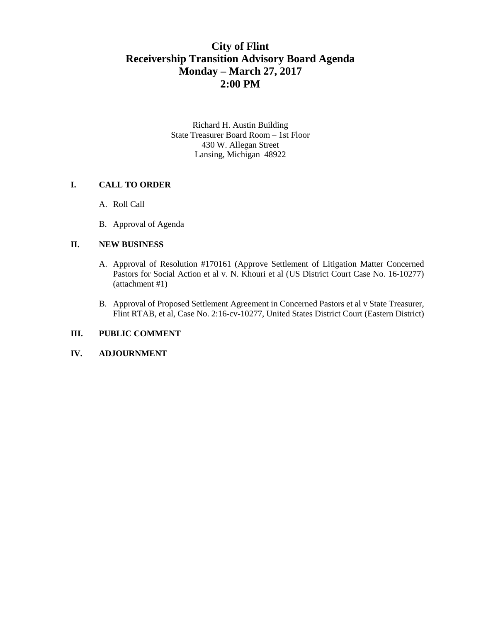# **City of Flint Receivership Transition Advisory Board Agenda Monday – March 27, 2017 2:00 PM**

Richard H. Austin Building State Treasurer Board Room – 1st Floor 430 W. Allegan Street Lansing, Michigan 48922

#### **I. CALL TO ORDER**

- A. Roll Call
- B. Approval of Agenda

### **II. NEW BUSINESS**

- A. Approval of Resolution #170161 (Approve Settlement of Litigation Matter Concerned Pastors for Social Action et al v. N. Khouri et al (US District Court Case No. 16-10277) (attachment #1)
- B. Approval of Proposed Settlement Agreement in Concerned Pastors et al v State Treasurer, Flint RTAB, et al, Case No. 2:16-cv-10277, United States District Court (Eastern District)

## **III. PUBLIC COMMENT**

## **IV. ADJOURNMENT**